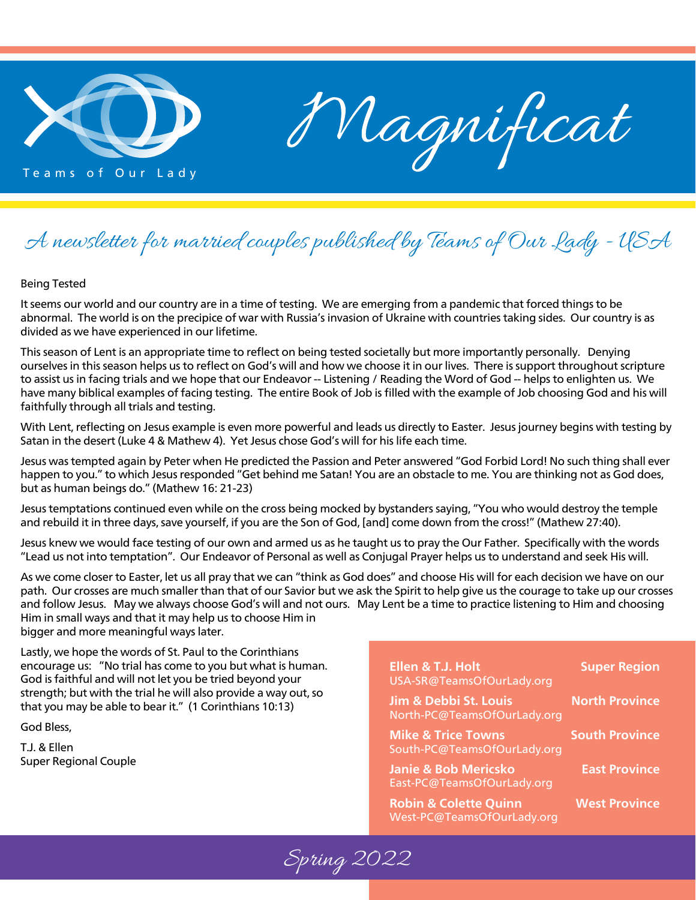

Magnificat

### A newsletter for married couples published by Teams of Our Lady - USA

#### Being Tested

It seems our world and our country are in a time of testing. We are emerging from a pandemic that forced things to be abnormal. The world is on the precipice of war with Russia's invasion of Ukraine with countries taking sides. Our country is as divided as we have experienced in our lifetime.

This season of Lent is an appropriate time to reflect on being tested societally but more importantly personally. Denying ourselves in this season helps us to reflect on God's will and how we choose it in our lives. There is support throughout scripture to assist us in facing trials and we hope that our Endeavor -- Listening / Reading the Word of God -- helps to enlighten us. We have many biblical examples of facing testing. The entire Book of Job is filled with the example of Job choosing God and his will faithfully through all trials and testing.

With Lent, reflecting on Jesus example is even more powerful and leads us directly to Easter. Jesus journey begins with testing by Satan in the desert (Luke 4 & Mathew 4). Yet Jesus chose God's will for his life each time.

Jesus was tempted again by Peter when He predicted the Passion and Peter answered "God Forbid Lord! No such thing shall ever happen to you." to which Jesus responded "Get behind me Satan! You are an obstacle to me. You are thinking not as God does, but as human beings do." (Mathew 16: 21-23)

Jesus temptations continued even while on the cross being mocked by bystanders saying, "You who would destroy the temple and rebuild it in three days, save yourself, if you are the Son of God, [and] come down from the cross!" (Mathew 27:40).

Jesus knew we would face testing of our own and armed us as he taught us to pray the Our Father. Specifically with the words "Lead us not into temptation". Our Endeavor of Personal as well as Conjugal Prayer helps us to understand and seek His will.

As we come closer to Easter, let us all pray that we can "think as God does" and choose His will for each decision we have on our path. Our crosses are much smaller than that of our Savior but we ask the Spirit to help give us the courage to take up our crosses and follow Jesus. May we always choose God's will and not ours. May Lent be a time to practice listening to Him and choosing Him in small ways and that it may help us to choose Him in bigger and more meaningful ways later.

Lastly, we hope the words of St. Paul to the Corinthians encourage us: "No trial has come to you but what is human. God is faithful and will not let you be tried beyond your strength; but with the trial he will also provide a way out, so that you may be able to bear it." (1 Corinthians 10:13)

God Bless,

T.J. & Ellen Super Regional Couple

#### Ellen & T.J. Holt Super Region USA-SR@TeamsOfOurLady.org

**Jim & Debbi St. Louis North Province** North-PC@TeamsOfOurLady.org

**Mike & Trice Towns South Province** South-PC@TeamsOfOurLady.org

Janie & Bob Mericsko<br>
East Province East-PC@TeamsOfOurLady.org

**Robin & Colette Quinn Fig. 8 West Province** West-PC@TeamsOfOurLady.org

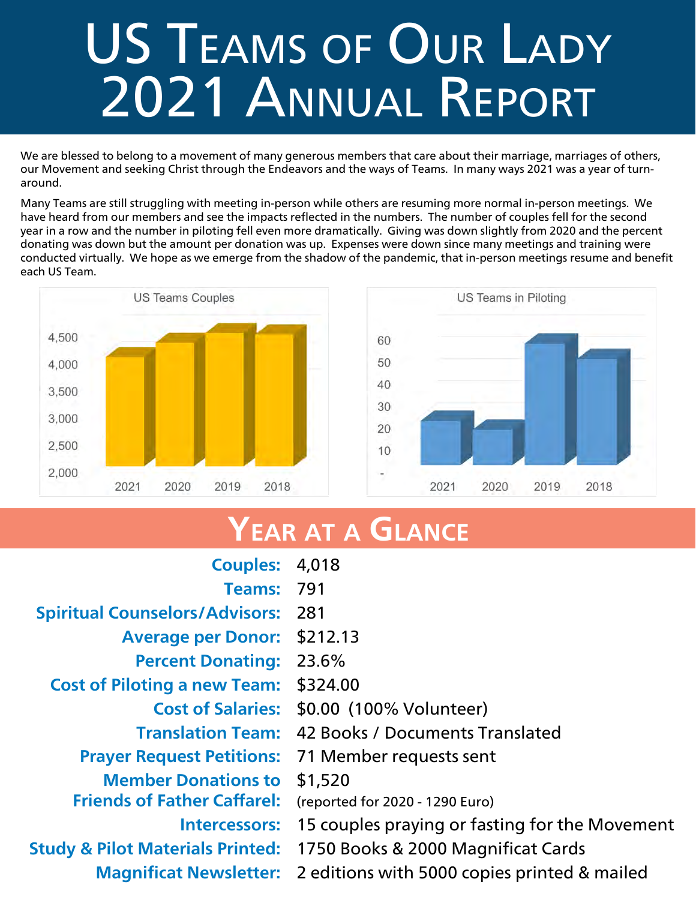## US TEAMS OF OUR LADY 2021 Annual Report

We are blessed to belong to a movement of many generous members that care about their marriage, marriages of others, our Movement and seeking Christ through the Endeavors and the ways of Teams. In many ways 2021 was a year of turnaround.

Many Teams are still struggling with meeting in-person while others are resuming more normal in-person meetings. We have heard from our members and see the impacts reflected in the numbers. The number of couples fell for the second year in a row and the number in piloting fell even more dramatically. Giving was down slightly from 2020 and the percent donating was down but the amount per donation was up. Expenses were down since many meetings and training were conducted virtually. We hope as we emerge from the shadow of the pandemic, that in-person meetings resume and benefit each US Team.





### YEAR AT A GLANCE

| 4,018                                                       |
|-------------------------------------------------------------|
| 791                                                         |
| <b>Spiritual Counselors/Advisors:</b><br>281                |
| \$212.13                                                    |
| 23.6%                                                       |
| \$324.00                                                    |
| \$0.00 (100% Volunteer)<br><b>Cost of Salaries:</b>         |
| 42 Books / Documents Translated                             |
| <b>Prayer Request Petitions:</b><br>71 Member requests sent |
| \$1,520                                                     |
| (reported for 2020 - 1290 Euro)                             |
| 15 couples praying or fasting for the Movement              |
| 1750 Books & 2000 Magnificat Cards                          |
| 2 editions with 5000 copies printed & mailed                |
|                                                             |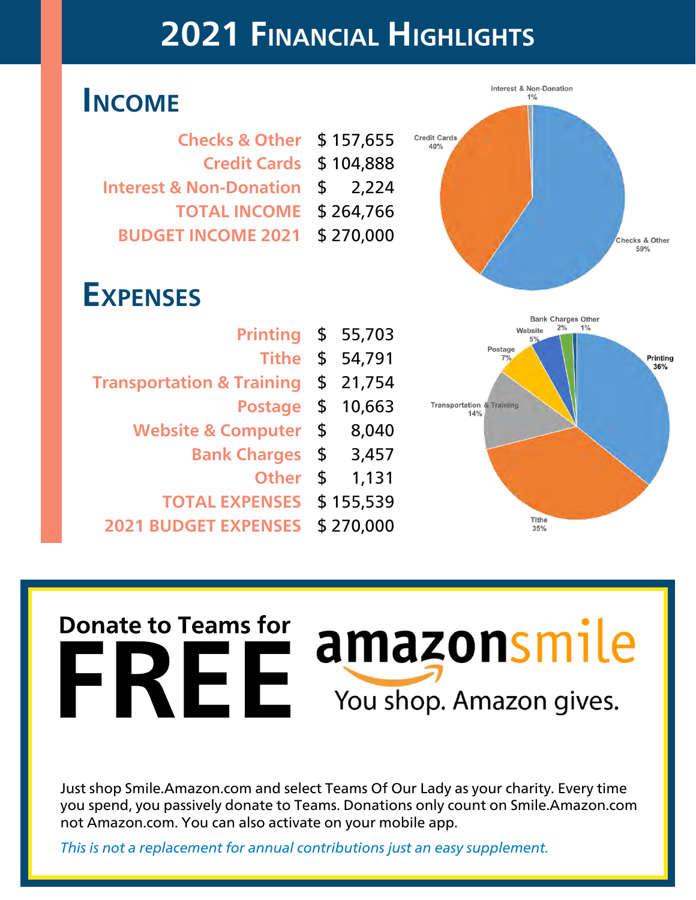## 2021 Financial Highlights

### Income

| <b>Checks &amp; Other</b>          |           | \$157,655 |  |
|------------------------------------|-----------|-----------|--|
| <b>Credit Cards</b>                | \$104,888 |           |  |
| <b>Interest &amp; Non-Donation</b> |           | \$2.224   |  |
| <b>TOTAL INCOME</b>                | \$264,766 |           |  |
| <b>BUDGET INCOME 2021</b>          |           | \$270,000 |  |

### **EXPENSES**

| <b>Printing</b>                      |               | \$55,703  |
|--------------------------------------|---------------|-----------|
| <b>Tithe</b>                         |               | \$ 54,791 |
| <b>Transportation &amp; Training</b> | \$            | 21,754    |
| <b>Postage</b>                       | \$            | 10,663    |
| <b>Website &amp; Computer</b>        | \$            | 8,040     |
| <b>Bank Charges</b>                  | $\frac{1}{2}$ | 3,457     |
| <b>Other</b>                         | \$            | 1,131     |
| <b>TOTAL EXPENSES</b>                |               | \$155,539 |
| <b>BUDGET EXPENSES</b>               |               | \$270,000 |





# The to Teams for a mazons mile **Donate to Teams for**

Just shop Smile.Amazon.com and select Teams Of Our Lady as your charity. Every time you spend, you passively donate to Teams. Donations only count on Smile.Amazon.com not Amazon.com. You can also activate on your mobile app.

This is not a replacement for annual contributions just an easy supplement.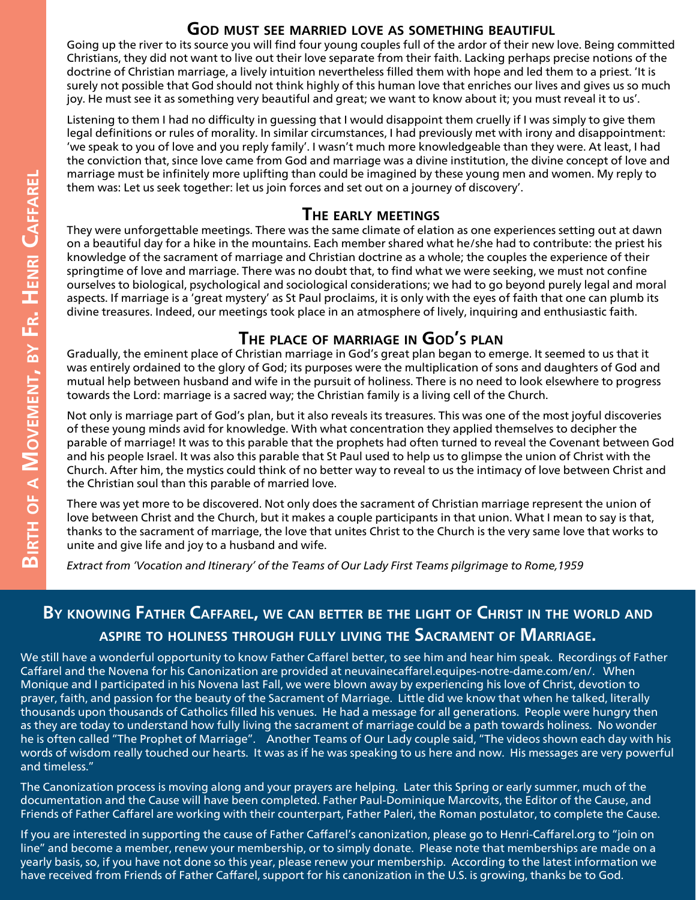#### God must see married love as something beautiful

Going up the river to its source you will find four young couples full of the ardor of their new love. Being committed Christians, they did not want to live out their love separate from their faith. Lacking perhaps precise notions of the doctrine of Christian marriage, a lively intuition nevertheless filled them with hope and led them to a priest. 'It is surely not possible that God should not think highly of this human love that enriches our lives and gives us so much joy. He must see it as something very beautiful and great; we want to know about it; you must reveal it to us'.

Listening to them I had no difficulty in guessing that I would disappoint them cruelly if I was simply to give them legal definitions or rules of morality. In similar circumstances, I had previously met with irony and disappointment: 'we speak to you of love and you reply family'. I wasn't much more knowledgeable than they were. At least, I had the conviction that, since love came from God and marriage was a divine institution, the divine concept of love and marriage must be infinitely more uplifting than could be imagined by these young men and women. My reply to them was: Let us seek together: let us join forces and set out on a journey of discovery'.

#### The early meetings

They were unforgettable meetings. There was the same climate of elation as one experiences setting out at dawn on a beautiful day for a hike in the mountains. Each member shared what he/she had to contribute: the priest his knowledge of the sacrament of marriage and Christian doctrine as a whole; the couples the experience of their springtime of love and marriage. There was no doubt that, to find what we were seeking, we must not confine ourselves to biological, psychological and sociological considerations; we had to go beyond purely legal and moral aspects. If marriage is a 'great mystery' as St Paul proclaims, it is only with the eyes of faith that one can plumb its divine treasures. Indeed, our meetings took place in an atmosphere of lively, inquiring and enthusiastic faith.

#### THE PLACE OF MARRIAGE IN GOD'S PLAN

Gradually, the eminent place of Christian marriage in God's great plan began to emerge. It seemed to us that it was entirely ordained to the glory of God; its purposes were the multiplication of sons and daughters of God and mutual help between husband and wife in the pursuit of holiness. There is no need to look elsewhere to progress towards the Lord: marriage is a sacred way; the Christian family is a living cell of the Church.

Not only is marriage part of God's plan, but it also reveals its treasures. This was one of the most joyful discoveries of these young minds avid for knowledge. With what concentration they applied themselves to decipher the parable of marriage! It was to this parable that the prophets had often turned to reveal the Covenant between God and his people Israel. It was also this parable that St Paul used to help us to glimpse the union of Christ with the Church. After him, the mystics could think of no better way to reveal to us the intimacy of love between Christ and the Christian soul than this parable of married love.

There was yet more to be discovered. Not only does the sacrament of Christian marriage represent the union of love between Christ and the Church, but it makes a couple participants in that union. What I mean to say is that, thanks to the sacrament of marriage, the love that unites Christ to the Church is the very same love that works to unite and give life and joy to a husband and wife.

Extract from 'Vocation and Itinerary' of the Teams of Our Lady First Teams pilgrimage to Rome,1959

#### BY KNOWING FATHER CAFFAREL, WE CAN BETTER BE THE LIGHT OF CHRIST IN THE WORLD AND aspire to holiness through fully living the Sacrament of Marriage.

We still have a wonderful opportunity to know Father Caffarel better, to see him and hear him speak. Recordings of Father Caffarel and the Novena for his Canonization are provided at neuvainecaffarel.equipes-notre-dame.com/en/. When Monique and I participated in his Novena last Fall, we were blown away by experiencing his love of Christ, devotion to prayer, faith, and passion for the beauty of the Sacrament of Marriage. Little did we know that when he talked, literally thousands upon thousands of Catholics filled his venues. He had a message for all generations. People were hungry then as they are today to understand how fully living the sacrament of marriage could be a path towards holiness. No wonder he is often called "The Prophet of Marriage". Another Teams of Our Lady couple said, "The videos shown each day with his words of wisdom really touched our hearts. It was as if he was speaking to us here and now. His messages are very powerful and timeless."

The Canonization process is moving along and your prayers are helping. Later this Spring or early summer, much of the documentation and the Cause will have been completed. Father Paul-Dominique Marcovits, the Editor of the Cause, and Friends of Father Caffarel are working with their counterpart, Father Paleri, the Roman postulator, to complete the Cause.

If you are interested in supporting the cause of Father Caffarel's canonization, please go to Henri-Caffarel.org to "join on line" and become a member, renew your membership, or to simply donate. Please note that memberships are made on a yearly basis, so, if you have not done so this year, please renew your membership. According to the latest information we have received from Friends of Father Caffarel, support for his canonization in the U.S. is growing, thanks be to God.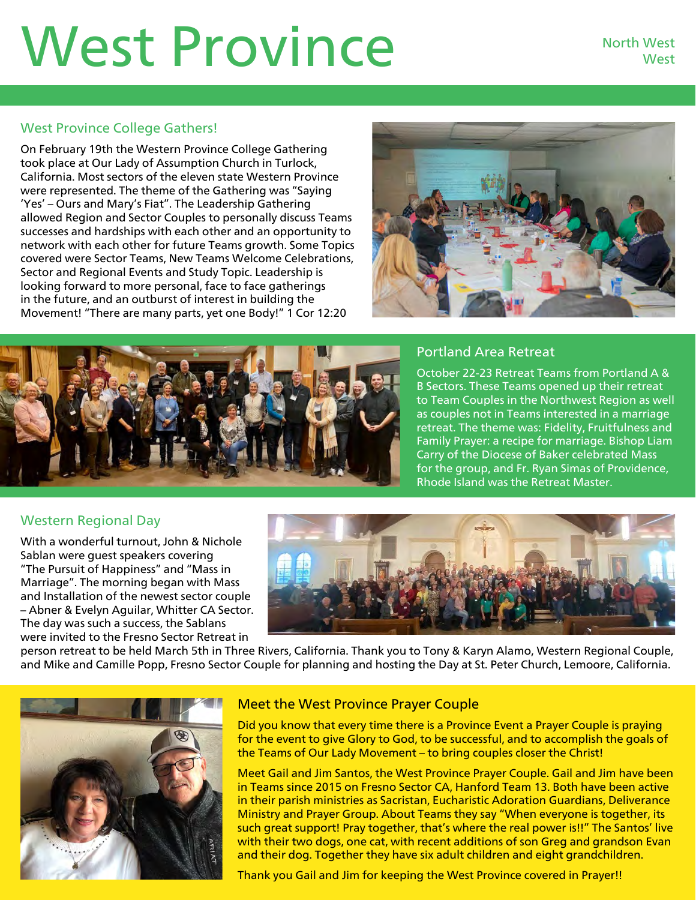## West Province North West

#### West Province College Gathers!

On February 19th the Western Province College Gathering took place at Our Lady of Assumption Church in Turlock, California. Most sectors of the eleven state Western Province were represented. The theme of the Gathering was "Saying 'Yes' – Ours and Mary's Fiat". The Leadership Gathering allowed Region and Sector Couples to personally discuss Teams successes and hardships with each other and an opportunity to network with each other for future Teams growth. Some Topics covered were Sector Teams, New Teams Welcome Celebrations, Sector and Regional Events and Study Topic. Leadership is looking forward to more personal, face to face gatherings in the future, and an outburst of interest in building the Movement! "There are many parts, yet one Body!" 1 Cor 12:20





#### Portland Area Retreat

October 22-23 Retreat Teams from Portland A & B Sectors. These Teams opened up their retreat to Team Couples in the Northwest Region as well as couples not in Teams interested in a marriage retreat. The theme was: Fidelity, Fruitfulness and Family Prayer: a recipe for marriage. Bishop Liam Carry of the Diocese of Baker celebrated Mass for the group, and Fr. Ryan Simas of Providence, Rhode Island was the Retreat Master.

#### Western Regional Day

With a wonderful turnout, John & Nichole Sablan were guest speakers covering "The Pursuit of Happiness" and "Mass in Marriage". The morning began with Mass and Installation of the newest sector couple – Abner & Evelyn Aguilar, Whitter CA Sector. The day was such a success, the Sablans were invited to the Fresno Sector Retreat in



person retreat to be held March 5th in Three Rivers, California. Thank you to Tony & Karyn Alamo, Western Regional Couple, and Mike and Camille Popp, Fresno Sector Couple for planning and hosting the Day at St. Peter Church, Lemoore, California.



#### Meet the West Province Prayer Couple

Did you know that every time there is a Province Event a Prayer Couple is praying for the event to give Glory to God, to be successful, and to accomplish the goals of the Teams of Our Lady Movement – to bring couples closer the Christ!

Meet Gail and Jim Santos, the West Province Prayer Couple. Gail and Jim have been in Teams since 2015 on Fresno Sector CA, Hanford Team 13. Both have been active in their parish ministries as Sacristan, Eucharistic Adoration Guardians, Deliverance Ministry and Prayer Group. About Teams they say "When everyone is together, its such great support! Pray together, that's where the real power is!!" The Santos' live with their two dogs, one cat, with recent additions of son Greg and grandson Evan and their dog. Together they have six adult children and eight grandchildren.

Thank you Gail and Jim for keeping the West Province covered in Prayer!!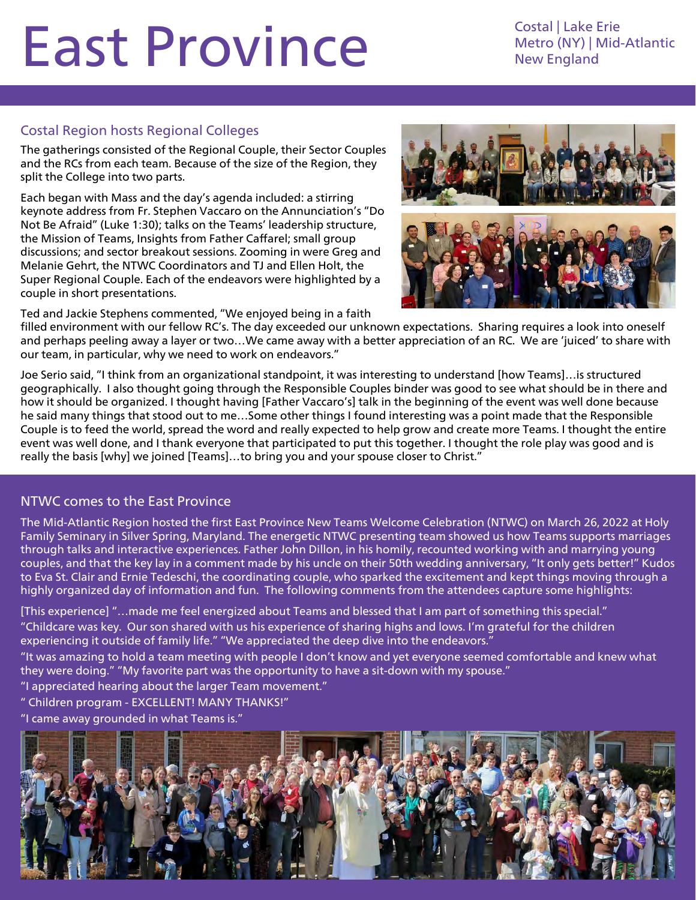## East Province Costal | Lake Erie

Metro (NY) | Mid-Atlantic New England

#### Costal Region hosts Regional Colleges

The gatherings consisted of the Regional Couple, their Sector Couples and the RCs from each team. Because of the size of the Region, they split the College into two parts.

Each began with Mass and the day's agenda included: a stirring keynote address from Fr. Stephen Vaccaro on the Annunciation's "Do Not Be Afraid" (Luke 1:30); talks on the Teams' leadership structure, the Mission of Teams, Insights from Father Caffarel; small group discussions; and sector breakout sessions. Zooming in were Greg and Melanie Gehrt, the NTWC Coordinators and TJ and Ellen Holt, the Super Regional Couple. Each of the endeavors were highlighted by a couple in short presentations.

Ted and Jackie Stephens commented, "We enjoyed being in a faith



filled environment with our fellow RC's. The day exceeded our unknown expectations. Sharing requires a look into oneself and perhaps peeling away a layer or two…We came away with a better appreciation of an RC. We are 'juiced' to share with our team, in particular, why we need to work on endeavors."

Joe Serio said, "I think from an organizational standpoint, it was interesting to understand [how Teams]…is structured geographically. I also thought going through the Responsible Couples binder was good to see what should be in there and how it should be organized. I thought having [Father Vaccaro's] talk in the beginning of the event was well done because he said many things that stood out to me…Some other things I found interesting was a point made that the Responsible Couple is to feed the world, spread the word and really expected to help grow and create more Teams. I thought the entire event was well done, and I thank everyone that participated to put this together. I thought the role play was good and is really the basis [why] we joined [Teams]…to bring you and your spouse closer to Christ."

#### NTWC comes to the East Province

The Mid-Atlantic Region hosted the first East Province New Teams Welcome Celebration (NTWC) on March 26, 2022 at Holy Family Seminary in Silver Spring, Maryland. The energetic NTWC presenting team showed us how Teams supports marriages through talks and interactive experiences. Father John Dillon, in his homily, recounted working with and marrying young couples, and that the key lay in a comment made by his uncle on their 50th wedding anniversary, "It only gets better!" Kudos to Eva St. Clair and Ernie Tedeschi, the coordinating couple, who sparked the excitement and kept things moving through a highly organized day of information and fun. The following comments from the attendees capture some highlights:

[This experience] "…made me feel energized about Teams and blessed that I am part of something this special." "Childcare was key. Our son shared with us his experience of sharing highs and lows. I'm grateful for the children experiencing it outside of family life." "We appreciated the deep dive into the endeavors.'

"It was amazing to hold a team meeting with people I don't know and yet everyone seemed comfortable and knew what they were doing." "My favorite part was the opportunity to have a sit-down with my spouse."

"I appreciated hearing about the larger Team movement."

" Children program - EXCELLENT! MANY THANKS!"

"I came away grounded in what Teams is."

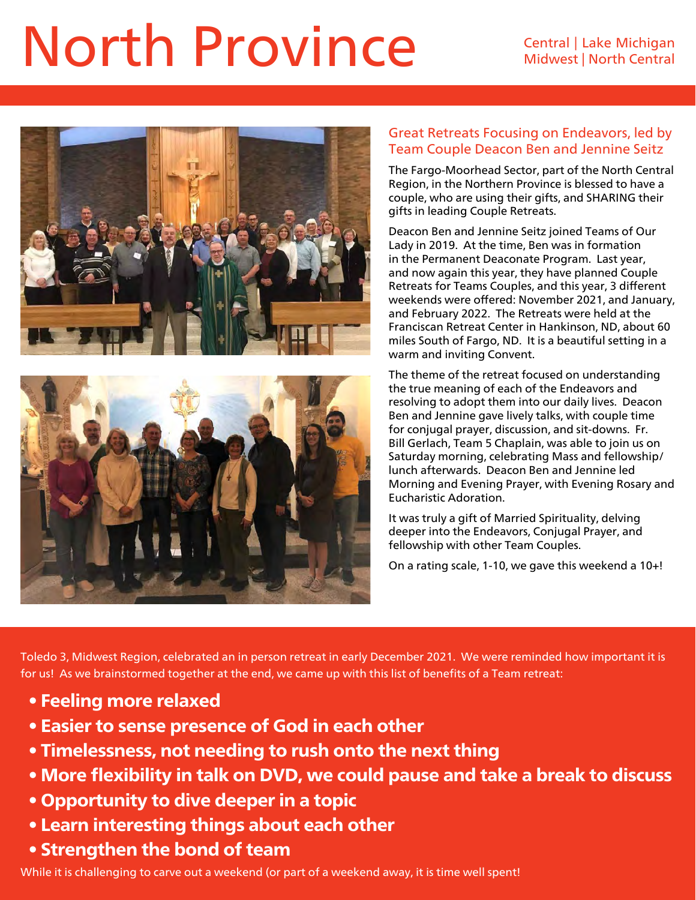## North Province Central Lake Michigan





#### Great Retreats Focusing on Endeavors, led by Team Couple Deacon Ben and Jennine Seitz

The Fargo-Moorhead Sector, part of the North Central Region, in the Northern Province is blessed to have a couple, who are using their gifts, and SHARING their gifts in leading Couple Retreats.

Deacon Ben and Jennine Seitz joined Teams of Our Lady in 2019. At the time, Ben was in formation in the Permanent Deaconate Program. Last year, and now again this year, they have planned Couple Retreats for Teams Couples, and this year, 3 different weekends were offered: November 2021, and January, and February 2022. The Retreats were held at the Franciscan Retreat Center in Hankinson, ND, about 60 miles South of Fargo, ND. It is a beautiful setting in a warm and inviting Convent.

The theme of the retreat focused on understanding the true meaning of each of the Endeavors and resolving to adopt them into our daily lives. Deacon Ben and Jennine gave lively talks, with couple time for conjugal prayer, discussion, and sit-downs. Fr. Bill Gerlach, Team 5 Chaplain, was able to join us on Saturday morning, celebrating Mass and fellowship/ lunch afterwards. Deacon Ben and Jennine led Morning and Evening Prayer, with Evening Rosary and Eucharistic Adoration.

It was truly a gift of Married Spirituality, delving deeper into the Endeavors, Conjugal Prayer, and fellowship with other Team Couples.

On a rating scale, 1-10, we gave this weekend a 10+!

Toledo 3, Midwest Region, celebrated an in person retreat in early December 2021. We were reminded how important it is for us! As we brainstormed together at the end, we came up with this list of benefits of a Team retreat:

- Feeling more relaxed
- Easier to sense presence of God in each other
- Timelessness, not needing to rush onto the next thing
- More flexibility in talk on DVD, we could pause and take a break to discuss
- Opportunity to dive deeper in a topic
- Learn interesting things about each other
- Strengthen the bond of team

While it is challenging to carve out a weekend (or part of a weekend away, it is time well spent!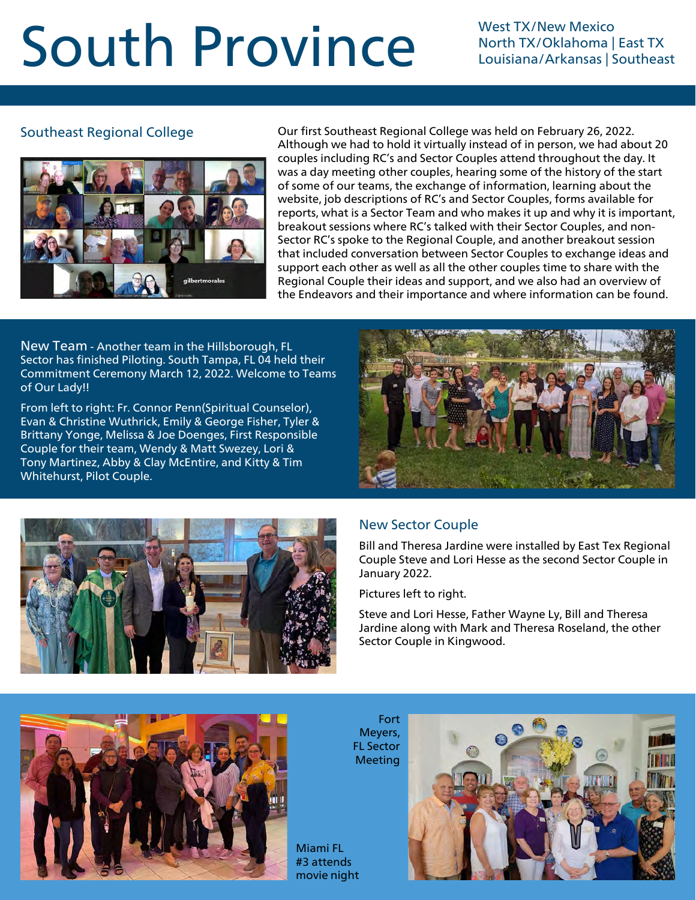## South Province West TX/New Mexico

North TX/Oklahoma | East TX Louisiana/Arkansas | Southeast

#### Southeast Regional College



Our first Southeast Regional College was held on February 26, 2022. Although we had to hold it virtually instead of in person, we had about 20 couples including RC's and Sector Couples attend throughout the day. It was a day meeting other couples, hearing some of the history of the start of some of our teams, the exchange of information, learning about the website, job descriptions of RC's and Sector Couples, forms available for reports, what is a Sector Team and who makes it up and why it is important, breakout sessions where RC's talked with their Sector Couples, and non-Sector RC's spoke to the Regional Couple, and another breakout session that included conversation between Sector Couples to exchange ideas and support each other as well as all the other couples time to share with the Regional Couple their ideas and support, and we also had an overview of the Endeavors and their importance and where information can be found.

New Team - Another team in the Hillsborough, FL Sector has finished Piloting. South Tampa, FL 04 held their Commitment Ceremony March 12, 2022. Welcome to Teams of Our Lady!!

From left to right: Fr. Connor Penn(Spiritual Counselor), Evan & Christine Wuthrick, Emily & George Fisher, Tyler & Brittany Yonge, Melissa & Joe Doenges, First Responsible Couple for their team, Wendy & Matt Swezey, Lori & Tony Martinez, Abby & Clay McEntire, and Kitty & Tim Whitehurst, Pilot Couple.





#### New Sector Couple

Bill and Theresa Jardine were installed by East Tex Regional Couple Steve and Lori Hesse as the second Sector Couple in January 2022.

Pictures left to right.

Steve and Lori Hesse, Father Wayne Ly, Bill and Theresa Jardine along with Mark and Theresa Roseland, the other Sector Couple in Kingwood.



Meyers, FL Sector Meeting

Miami FL #3 attends movie night